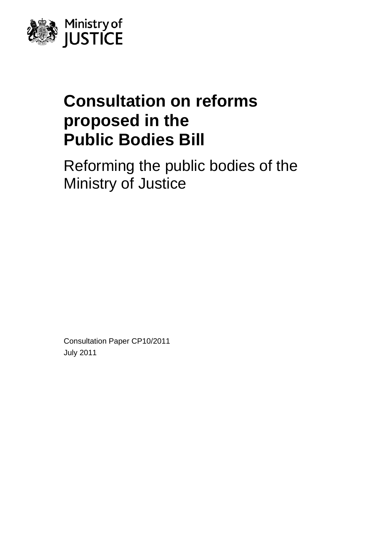

# **Consultation on reforms proposed in the Public Bodies Bill**

Reforming the public bodies of the Ministry of Justice

Consultation Paper CP10/2011 July 2011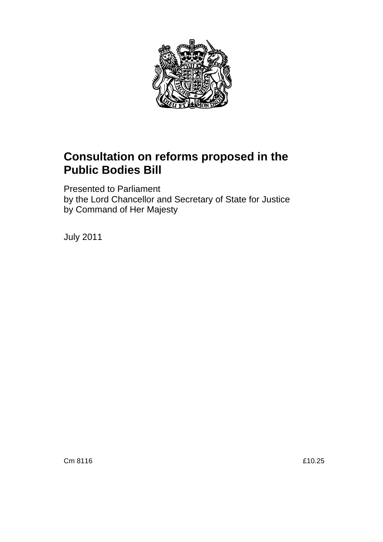

# **Consultation on reforms proposed in the Public Bodies Bill**

Presented to Parliament by the Lord Chancellor and Secretary of State for Justice by Command of Her Majesty

July 2011

Cm 8116 **E10.25**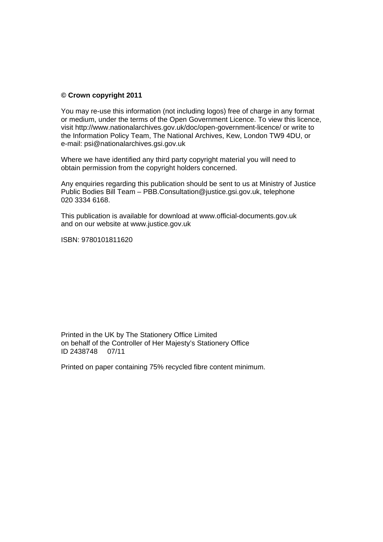### **© Crown copyright 2011**

You may re-use this information (not including logos) free of charge in any format or medium, under the terms of the Open Government Licence. To view this licence, visit <http://www.nationalarchives.gov.uk/doc/open-government-licence/> or write to the Information Policy Team, The National Archives, Kew, London TW9 4DU, or e-mail: [psi@nationalarchives.gsi.gov.uk](mailto:psi@nationalarchives.gsi.gov.uk) 

Where we have identified any third party copyright material you will need to obtain permission from the copyright holders concerned.

Any enquiries regarding this publication should be sent to us at Ministry of Justice Public Bodies Bill Team – [PBB.Consultation@justice.gsi.gov.uk,](mailto:PBB.Consultation@justice.gsi.gov.uk) telephone 020 3334 6168.

This publication is available for download at [www.official-documents.gov.uk](http://www.official-documents.gov.uk/) and on our website at [www.justice.gov.uk](http://www.justice.gov.uk/) 

ISBN: 9780101811620

Printed in the UK by The Stationery Office Limited on behalf of the Controller of Her Majesty's Stationery Office ID 2438748 07/11

Printed on paper containing 75% recycled fibre content minimum.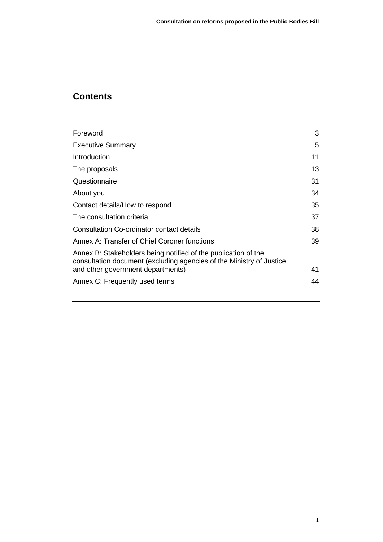# **Contents**

| Foreword                                                                                                                               | 3  |
|----------------------------------------------------------------------------------------------------------------------------------------|----|
| <b>Executive Summary</b>                                                                                                               | 5  |
| Introduction                                                                                                                           | 11 |
| The proposals                                                                                                                          | 13 |
| Questionnaire                                                                                                                          | 31 |
| About you                                                                                                                              | 34 |
| Contact details/How to respond                                                                                                         | 35 |
| The consultation criteria                                                                                                              | 37 |
| Consultation Co-ordinator contact details                                                                                              | 38 |
| Annex A: Transfer of Chief Coroner functions                                                                                           | 39 |
| Annex B: Stakeholders being notified of the publication of the<br>consultation document (excluding agencies of the Ministry of Justice |    |
| and other government departments)                                                                                                      | 41 |
| Annex C: Frequently used terms                                                                                                         | 44 |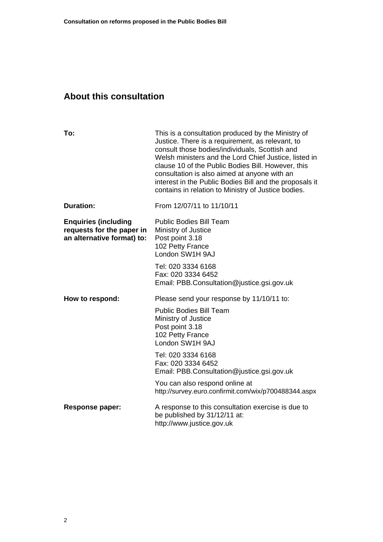# **About this consultation**

| To:                                                                                    | This is a consultation produced by the Ministry of<br>Justice. There is a requirement, as relevant, to<br>consult those bodies/individuals, Scottish and<br>Welsh ministers and the Lord Chief Justice, listed in<br>clause 10 of the Public Bodies Bill. However, this<br>consultation is also aimed at anyone with an<br>interest in the Public Bodies Bill and the proposals it<br>contains in relation to Ministry of Justice bodies. |
|----------------------------------------------------------------------------------------|-------------------------------------------------------------------------------------------------------------------------------------------------------------------------------------------------------------------------------------------------------------------------------------------------------------------------------------------------------------------------------------------------------------------------------------------|
| <b>Duration:</b>                                                                       | From 12/07/11 to 11/10/11                                                                                                                                                                                                                                                                                                                                                                                                                 |
| <b>Enquiries (including</b><br>requests for the paper in<br>an alternative format) to: | <b>Public Bodies Bill Team</b><br>Ministry of Justice<br>Post point 3.18<br>102 Petty France<br>London SW1H 9AJ                                                                                                                                                                                                                                                                                                                           |
|                                                                                        | Tel: 020 3334 6168<br>Fax: 020 3334 6452<br>Email: PBB.Consultation@justice.gsi.gov.uk                                                                                                                                                                                                                                                                                                                                                    |
| How to respond:                                                                        | Please send your response by 11/10/11 to:<br><b>Public Bodies Bill Team</b>                                                                                                                                                                                                                                                                                                                                                               |
|                                                                                        | Ministry of Justice<br>Post point 3.18<br>102 Petty France<br>London SW1H 9AJ                                                                                                                                                                                                                                                                                                                                                             |
|                                                                                        | Tel: 020 3334 6168<br>Fax: 020 3334 6452<br>Email: PBB.Consultation@justice.gsi.gov.uk                                                                                                                                                                                                                                                                                                                                                    |
|                                                                                        | You can also respond online at<br>http://survey.euro.confirmit.com/wix/p700488344.aspx                                                                                                                                                                                                                                                                                                                                                    |
| <b>Response paper:</b>                                                                 | A response to this consultation exercise is due to<br>be published by 31/12/11 at:<br>http://www.justice.gov.uk                                                                                                                                                                                                                                                                                                                           |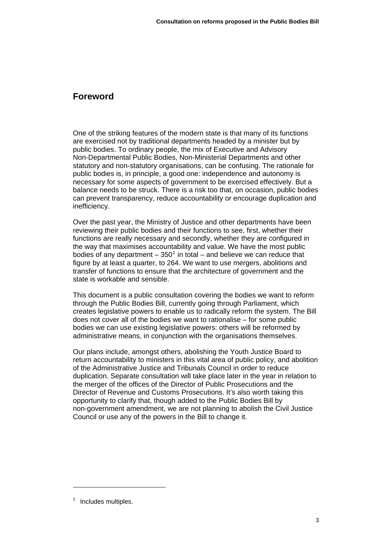# <span id="page-5-0"></span>**Foreword**

One of the striking features of the modern state is that many of its functions are exercised not by traditional departments headed by a minister but by public bodies. To ordinary people, the mix of Executive and Advisory Non-Departmental Public Bodies, Non-Ministerial Departments and other statutory and non-statutory organisations, can be confusing. The rationale for public bodies is, in principle, a good one: independence and autonomy is necessary for some aspects of government to be exercised effectively. But a balance needs to be struck. There is a risk too that, on occasion, public bodies can prevent transparency, reduce accountability or encourage duplication and inefficiency.

Over the past year, the Ministry of Justice and other departments have been reviewing their public bodies and their functions to see, first, whether their functions are really necessary and secondly, whether they are configured in the way that maximises accountability and value. We have the most public bodies of any department  $-350^1$  $-350^1$  in total  $-$  and believe we can reduce that figure by at least a quarter, to 264. We want to use mergers, abolitions and transfer of functions to ensure that the architecture of government and the state is workable and sensible.

This document is a public consultation covering the bodies we want to reform through the Public Bodies Bill, currently going through Parliament, which creates legislative powers to enable us to radically reform the system. The Bill does not cover all of the bodies we want to rationalise – for some public bodies we can use existing legislative powers: others will be reformed by administrative means, in conjunction with the organisations themselves.

Our plans include, amongst others, abolishing the Youth Justice Board to return accountability to ministers in this vital area of public policy, and abolition of the Administrative Justice and Tribunals Council in order to reduce duplication. Separate consultation will take place later in the year in relation to the merger of the offices of the Director of Public Prosecutions and the Director of Revenue and Customs Prosecutions. It's also worth taking this opportunity to clarify that, though added to the Public Bodies Bill by non-government amendment, we are not planning to abolish the Civil Justice Council or use any of the powers in the Bill to change it.

<span id="page-5-1"></span><sup>&</sup>lt;sup>1</sup> Includes multiples.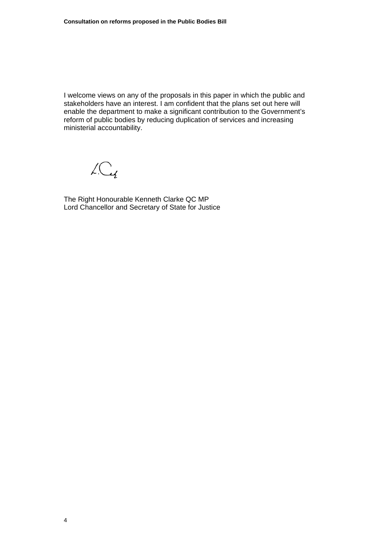I welcome views on any of the proposals in this paper in which the public and stakeholders have an interest. I am confident that the plans set out here will enable the department to make a significant contribution to the Government's reform of public bodies by reducing duplication of services and increasing ministerial accountability.

 $LC<sub>4</sub>$ 

The Right Honourable Kenneth Clarke QC MP Lord Chancellor and Secretary of State for Justice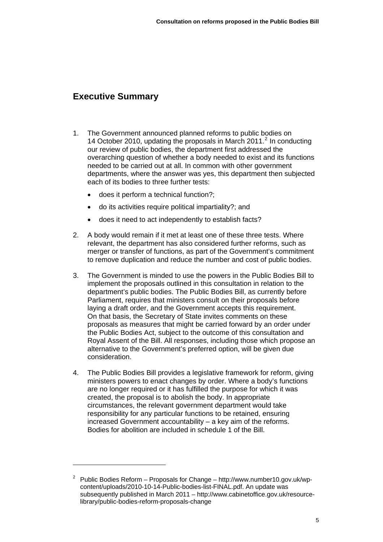# <span id="page-7-0"></span>**Executive Summary**

- 1. The Government announced planned reforms to public bodies on 14 October [2](#page-7-1)010, updating the proposals in March 2011.<sup>2</sup> In conducting our review of public bodies, the department first addressed the overarching question of whether a body needed to exist and its functions needed to be carried out at all. In common with other government departments, where the answer was yes, this department then subjected each of its bodies to three further tests:
	- does it perform a technical function?;
	- do its activities require political impartiality?; and
	- does it need to act independently to establish facts?
- 2. A body would remain if it met at least one of these three tests. Where relevant, the department has also considered further reforms, such as merger or transfer of functions, as part of the Government's commitment to remove duplication and reduce the number and cost of public bodies.
- 3. The Government is minded to use the powers in the Public Bodies Bill to implement the proposals outlined in this consultation in relation to the department's public bodies. The Public Bodies Bill, as currently before Parliament, requires that ministers consult on their proposals before laying a draft order, and the Government accepts this requirement. On that basis, the Secretary of State invites comments on these proposals as measures that might be carried forward by an order under the Public Bodies Act, subject to the outcome of this consultation and Royal Assent of the Bill. All responses, including those which propose an alternative to the Government's preferred option, will be given due consideration.
- 4. The Public Bodies Bill provides a legislative framework for reform, giving ministers powers to enact changes by order. Where a body's functions are no longer required or it has fulfilled the purpose for which it was created, the proposal is to abolish the body. In appropriate circumstances, the relevant government department would take responsibility for any particular functions to be retained, ensuring increased Government accountability – a key aim of the reforms. Bodies for abolition are included in schedule 1 of the Bill.

<span id="page-7-1"></span><sup>2</sup> Public Bodies Reform – Proposals for Change – [http://www.number10.gov.uk/wp](http://www.number10.gov.uk/wp-content/uploads/2010-10-14-Public-bodies-list-FINAL.pdf)[content/uploads/2010-10-14-Public-bodies-list-FINAL.pdf.](http://www.number10.gov.uk/wp-content/uploads/2010-10-14-Public-bodies-list-FINAL.pdf) An update was subsequently published in March 2011 – [http://www.cabinetoffice.gov.uk/resource](http://www.cabinetoffice.gov.uk/resource-library/public-bodies-reform-proposals-change)[library/public-bodies-reform-proposals-change](http://www.cabinetoffice.gov.uk/resource-library/public-bodies-reform-proposals-change)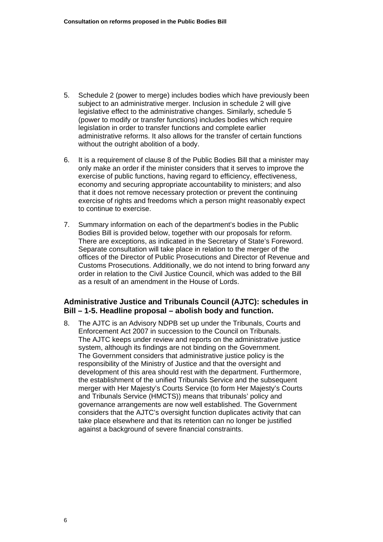- 5. Schedule 2 (power to merge) includes bodies which have previously been subject to an administrative merger. Inclusion in schedule 2 will give legislative effect to the administrative changes. Similarly, schedule 5 (power to modify or transfer functions) includes bodies which require legislation in order to transfer functions and complete earlier administrative reforms. It also allows for the transfer of certain functions without the outright abolition of a body.
- 6. It is a requirement of clause 8 of the Public Bodies Bill that a minister may only make an order if the minister considers that it serves to improve the exercise of public functions, having regard to efficiency, effectiveness, economy and securing appropriate accountability to ministers; and also that it does not remove necessary protection or prevent the continuing exercise of rights and freedoms which a person might reasonably expect to continue to exercise.
- 7. Summary information on each of the department's bodies in the Public Bodies Bill is provided below, together with our proposals for reform. There are exceptions, as indicated in the Secretary of State's Foreword. Separate consultation will take place in relation to the merger of the offices of the Director of Public Prosecutions and Director of Revenue and Customs Prosecutions. Additionally, we do not intend to bring forward any order in relation to the Civil Justice Council, which was added to the Bill as a result of an amendment in the House of Lords.

### **Administrative Justice and Tribunals Council (AJTC): schedules in Bill – 1-5. Headline proposal – abolish body and function.**

8. The AJTC is an Advisory NDPB set up under the Tribunals, Courts and Enforcement Act 2007 in succession to the Council on Tribunals. The AJTC keeps under review and reports on the administrative justice system, although its findings are not binding on the Government. The Government considers that administrative justice policy is the responsibility of the Ministry of Justice and that the oversight and development of this area should rest with the department. Furthermore, the establishment of the unified Tribunals Service and the subsequent merger with Her Majesty's Courts Service (to form Her Majesty's Courts and Tribunals Service (HMCTS)) means that tribunals' policy and governance arrangements are now well established. The Government considers that the AJTC's oversight function duplicates activity that can take place elsewhere and that its retention can no longer be justified against a background of severe financial constraints.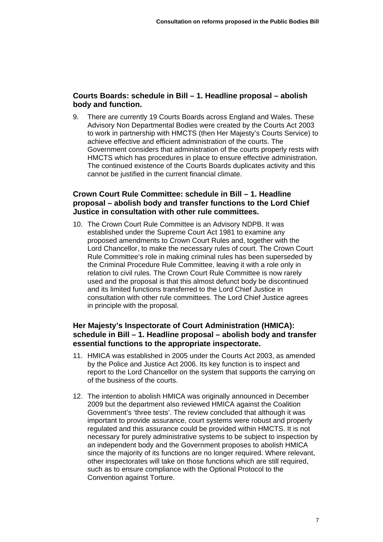# **Courts Boards: schedule in Bill – 1. Headline proposal – abolish body and function.**

9. There are currently 19 Courts Boards across England and Wales. These Advisory Non Departmental Bodies were created by the Courts Act 2003 to work in partnership with HMCTS (then Her Majesty's Courts Service) to achieve effective and efficient administration of the courts. The Government considers that administration of the courts properly rests with HMCTS which has procedures in place to ensure effective administration. The continued existence of the Courts Boards duplicates activity and this cannot be justified in the current financial climate.

### **Crown Court Rule Committee: schedule in Bill – 1. Headline proposal – abolish body and transfer functions to the Lord Chief Justice in consultation with other rule committees.**

10. The Crown Court Rule Committee is an Advisory NDPB. It was established under the Supreme Court Act 1981 to examine any proposed amendments to Crown Court Rules and, together with the Lord Chancellor, to make the necessary rules of court. The Crown Court Rule Committee's role in making criminal rules has been superseded by the Criminal Procedure Rule Committee, leaving it with a role only in relation to civil rules. The Crown Court Rule Committee is now rarely used and the proposal is that this almost defunct body be discontinued and its limited functions transferred to the Lord Chief Justice in consultation with other rule committees. The Lord Chief Justice agrees in principle with the proposal.

### **Her Majesty's Inspectorate of Court Administration (HMICA): schedule in Bill – 1. Headline proposal – abolish body and transfer essential functions to the appropriate inspectorate.**

- 11. HMICA was established in 2005 under the Courts Act 2003, as amended by the Police and Justice Act 2006. Its key function is to inspect and report to the Lord Chancellor on the system that supports the carrying on of the business of the courts.
- 12. The intention to abolish HMICA was originally announced in December 2009 but the department also reviewed HMICA against the Coalition Government's 'three tests'. The review concluded that although it was important to provide assurance, court systems were robust and properly regulated and this assurance could be provided within HMCTS. It is not necessary for purely administrative systems to be subject to inspection by an independent body and the Government proposes to abolish HMICA since the majority of its functions are no longer required. Where relevant, other inspectorates will take on those functions which are still required, such as to ensure compliance with the Optional Protocol to the Convention against Torture.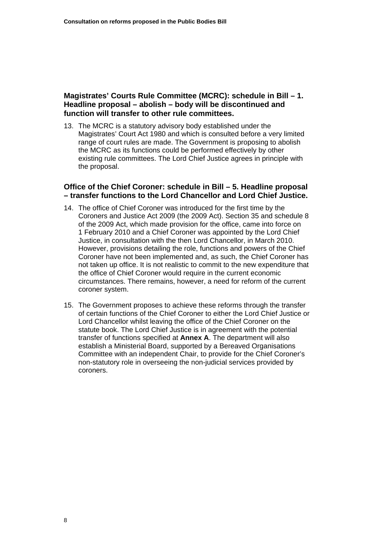### **Magistrates' Courts Rule Committee (MCRC): schedule in Bill – 1. Headline proposal – abolish – body will be discontinued and function will transfer to other rule committees.**

13. The MCRC is a statutory advisory body established under the Magistrates' Court Act 1980 and which is consulted before a very limited range of court rules are made. The Government is proposing to abolish the MCRC as its functions could be performed effectively by other existing rule committees. The Lord Chief Justice agrees in principle with the proposal.

### **Office of the Chief Coroner: schedule in Bill – 5. Headline proposal – transfer functions to the Lord Chancellor and Lord Chief Justice.**

- 14. The office of Chief Coroner was introduced for the first time by the Coroners and Justice Act 2009 (the 2009 Act). Section 35 and schedule 8 of the 2009 Act, which made provision for the office, came into force on 1 February 2010 and a Chief Coroner was appointed by the Lord Chief Justice, in consultation with the then Lord Chancellor, in March 2010. However, provisions detailing the role, functions and powers of the Chief Coroner have not been implemented and, as such, the Chief Coroner has not taken up office. It is not realistic to commit to the new expenditure that the office of Chief Coroner would require in the current economic circumstances. There remains, however, a need for reform of the current coroner system.
- 15. The Government proposes to achieve these reforms through the transfer of certain functions of the Chief Coroner to either the Lord Chief Justice or Lord Chancellor whilst leaving the office of the Chief Coroner on the statute book. The Lord Chief Justice is in agreement with the potential transfer of functions specified at **[Annex A](#page-41-0)**. The department will also establish a Ministerial Board, supported by a Bereaved Organisations Committee with an independent Chair, to provide for the Chief Coroner's non-statutory role in overseeing the non-judicial services provided by coroners.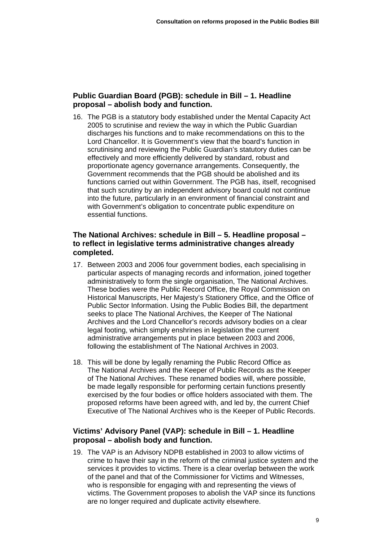### **Public Guardian Board (PGB): schedule in Bill – 1. Headline proposal – abolish body and function.**

16. The PGB is a statutory body established under the Mental Capacity Act 2005 to scrutinise and review the way in which the Public Guardian discharges his functions and to make recommendations on this to the Lord Chancellor. It is Government's view that the board's function in scrutinising and reviewing the Public Guardian's statutory duties can be effectively and more efficiently delivered by standard, robust and proportionate agency governance arrangements. Consequently, the Government recommends that the PGB should be abolished and its functions carried out within Government. The PGB has, itself, recognised that such scrutiny by an independent advisory board could not continue into the future, particularly in an environment of financial constraint and with Government's obligation to concentrate public expenditure on essential functions.

### **The National Archives: schedule in Bill – 5. Headline proposal – to reflect in legislative terms administrative changes already completed.**

- 17. Between 2003 and 2006 four government bodies, each specialising in particular aspects of managing records and information, joined together administratively to form the single organisation, The National Archives. These bodies were the Public Record Office, the Royal Commission on Historical Manuscripts, Her Majesty's Stationery Office, and the Office of Public Sector Information. Using the Public Bodies Bill, the department seeks to place The National Archives, the Keeper of The National Archives and the Lord Chancellor's records advisory bodies on a clear legal footing, which simply enshrines in legislation the current administrative arrangements put in place between 2003 and 2006, following the establishment of The National Archives in 2003.
- 18. This will be done by legally renaming the Public Record Office as The National Archives and the Keeper of Public Records as the Keeper of The National Archives. These renamed bodies will, where possible, be made legally responsible for performing certain functions presently exercised by the four bodies or office holders associated with them. The proposed reforms have been agreed with, and led by, the current Chief Executive of The National Archives who is the Keeper of Public Records.

### **Victims' Advisory Panel (VAP): schedule in Bill – 1. Headline proposal – abolish body and function.**

19. The VAP is an Advisory NDPB established in 2003 to allow victims of crime to have their say in the reform of the criminal justice system and the services it provides to victims. There is a clear overlap between the work of the panel and that of the Commissioner for Victims and Witnesses, who is responsible for engaging with and representing the views of victims. The Government proposes to abolish the VAP since its functions are no longer required and duplicate activity elsewhere.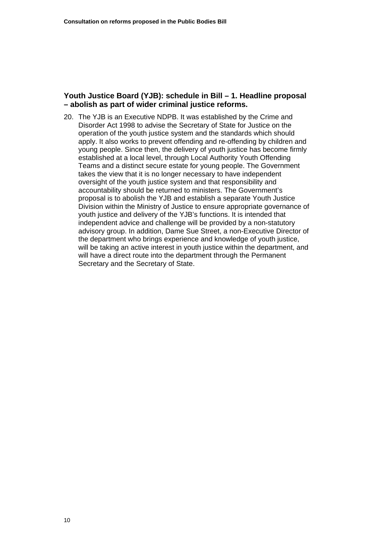### **Youth Justice Board (YJB): schedule in Bill – 1. Headline proposal – abolish as part of wider criminal justice reforms.**

20. The YJB is an Executive NDPB. It was established by the Crime and Disorder Act 1998 to advise the Secretary of State for Justice on the operation of the youth justice system and the standards which should apply. It also works to prevent offending and re-offending by children and young people. Since then, the delivery of youth justice has become firmly established at a local level, through Local Authority Youth Offending Teams and a distinct secure estate for young people. The Government takes the view that it is no longer necessary to have independent oversight of the youth justice system and that responsibility and accountability should be returned to ministers. The Government's proposal is to abolish the YJB and establish a separate Youth Justice Division within the Ministry of Justice to ensure appropriate governance of youth justice and delivery of the YJB's functions. It is intended that independent advice and challenge will be provided by a non-statutory advisory group. In addition, Dame Sue Street, a non-Executive Director of the department who brings experience and knowledge of youth justice, will be taking an active interest in youth justice within the department, and will have a direct route into the department through the Permanent Secretary and the Secretary of State.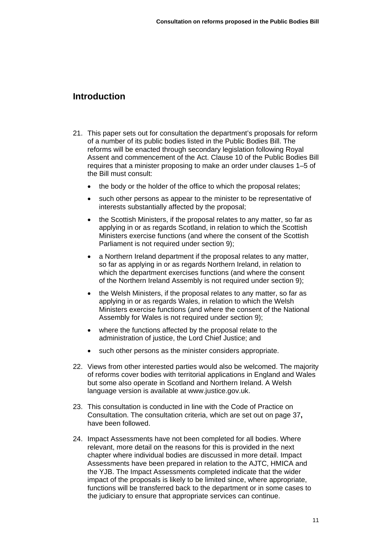# <span id="page-13-0"></span>**Introduction**

- 21. This paper sets out for consultation the department's proposals for reform of a number of its public bodies listed in the Public Bodies Bill. The reforms will be enacted through secondary legislation following Royal Assent and commencement of the Act. Clause 10 of the Public Bodies Bill requires that a minister proposing to make an order under clauses 1–5 of the Bill must consult:
	- the body or the holder of the office to which the proposal relates;
	- such other persons as appear to the minister to be representative of interests substantially affected by the proposal;
	- the Scottish Ministers, if the proposal relates to any matter, so far as applying in or as regards Scotland, in relation to which the Scottish Ministers exercise functions (and where the consent of the Scottish Parliament is not required under section 9);
	- a Northern Ireland department if the proposal relates to any matter, so far as applying in or as regards Northern Ireland, in relation to which the department exercises functions (and where the consent of the Northern Ireland Assembly is not required under section 9);
	- the Welsh Ministers, if the proposal relates to any matter, so far as applying in or as regards Wales, in relation to which the Welsh Ministers exercise functions (and where the consent of the National Assembly for Wales is not required under section 9);
	- where the functions affected by the proposal relate to the administration of justice, the Lord Chief Justice; and
	- such other persons as the minister considers appropriate.
- 22. Views from other interested parties would also be welcomed. The majority of reforms cover bodies with territorial applications in England and Wales but some also operate in Scotland and Northern Ireland. A Welsh language version is available at [www.justice.gov.uk](http://www.justice.gov.uk/).
- 23. This consultation is conducted in line with the Code of Practice on Consultation. The consultation criteria, which are set out on page 37**,** have been followed.
- 24. Impact Assessments have not been completed for all bodies. Where relevant, more detail on the reasons for this is provided in the next chapter where individual bodies are discussed in more detail. Impact Assessments have been prepared in relation to the AJTC, HMICA and the YJB. The Impact Assessments completed indicate that the wider impact of the proposals is likely to be limited since, where appropriate, functions will be transferred back to the department or in some cases to the judiciary to ensure that appropriate services can continue.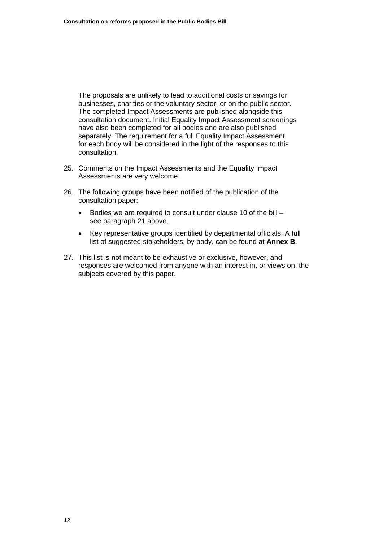The proposals are unlikely to lead to additional costs or savings for businesses, charities or the voluntary sector, or on the public sector. The completed Impact Assessments are published alongside this consultation document. Initial Equality Impact Assessment screenings have also been completed for all bodies and are also published separately. The requirement for a full Equality Impact Assessment for each body will be considered in the light of the responses to this consultation.

- 25. Comments on the Impact Assessments and the Equality Impact Assessments are very welcome.
- 26. The following groups have been notified of the publication of the consultation paper:
	- Bodies we are required to consult under clause 10 of the bill see paragraph 21 above.
	- Key representative groups identified by departmental officials. A full list of suggested stakeholders, by body, can be found at **[Annex B](#page-43-0)**.
- 27. This list is not meant to be exhaustive or exclusive, however, and responses are welcomed from anyone with an interest in, or views on, the subjects covered by this paper.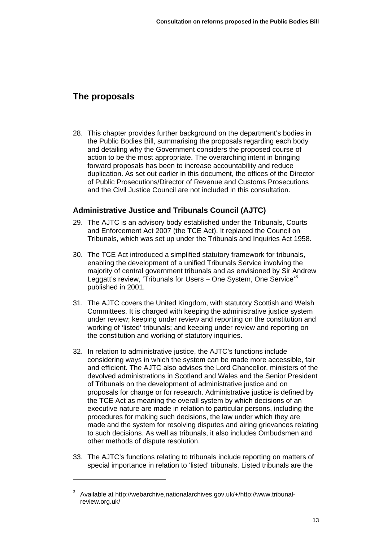# <span id="page-15-0"></span>**The proposals**

 $\overline{a}$ 

28. This chapter provides further background on the department's bodies in the Public Bodies Bill, summarising the proposals regarding each body and detailing why the Government considers the proposed course of action to be the most appropriate. The overarching intent in bringing forward proposals has been to increase accountability and reduce duplication. As set out earlier in this document, the offices of the Director of Public Prosecutions/Director of Revenue and Customs Prosecutions and the Civil Justice Council are not included in this consultation.

# **Administrative Justice and Tribunals Council (AJTC)**

- 29. The AJTC is an advisory body established under the Tribunals, Courts and Enforcement Act 2007 (the TCE Act). It replaced the Council on Tribunals, which was set up under the Tribunals and Inquiries Act 1958.
- 30. The TCE Act introduced a simplified statutory framework for tribunals, enabling the development of a unified Tribunals Service involving the majority of central government tribunals and as envisioned by Sir Andrew Leggatt's review, 'Tribunals for Users - One System, One Service'<sup>[3](#page-15-1)</sup> published in 2001.
- 31. The AJTC covers the United Kingdom, with statutory Scottish and Welsh Committees. It is charged with keeping the administrative justice system under review; keeping under review and reporting on the constitution and working of 'listed' tribunals; and keeping under review and reporting on the constitution and working of statutory inquiries.
- 32. In relation to administrative justice, the AJTC's functions include considering ways in which the system can be made more accessible, fair and efficient. The AJTC also advises the Lord Chancellor, ministers of the devolved administrations in Scotland and Wales and the Senior President of Tribunals on the development of administrative justice and on proposals for change or for research. Administrative justice is defined by the TCE Act as meaning the overall system by which decisions of an executive nature are made in relation to particular persons, including the procedures for making such decisions, the law under which they are made and the system for resolving disputes and airing grievances relating to such decisions. As well as tribunals, it also includes Ombudsmen and other methods of dispute resolution.
- 33. The AJTC's functions relating to tribunals include reporting on matters of special importance in relation to 'listed' tribunals. Listed tribunals are the

<span id="page-15-1"></span><sup>3</sup> Available at [http://webarchive,nationalarchives.gov.uk/+/http://www.tribunal](http://webarchive,nationalarchives.gov.uk/+/http:/www.tribunal-review.org.uk/)[review.org.uk/](http://webarchive,nationalarchives.gov.uk/+/http:/www.tribunal-review.org.uk/)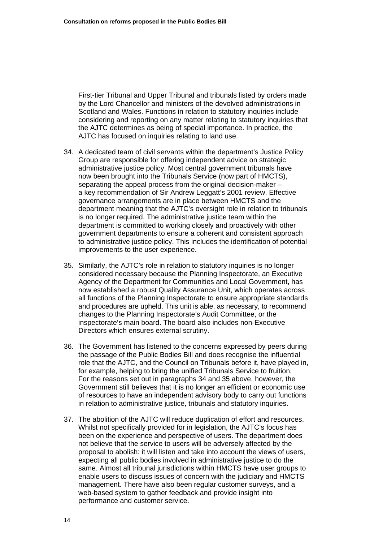First-tier Tribunal and Upper Tribunal and tribunals listed by orders made by the Lord Chancellor and ministers of the devolved administrations in Scotland and Wales. Functions in relation to statutory inquiries include considering and reporting on any matter relating to statutory inquiries that the AJTC determines as being of special importance. In practice, the AJTC has focused on inquiries relating to land use.

- 34. A dedicated team of civil servants within the department's Justice Policy Group are responsible for offering independent advice on strategic administrative justice policy. Most central government tribunals have now been brought into the Tribunals Service (now part of HMCTS), separating the appeal process from the original decision-maker – a key recommendation of Sir Andrew Leggatt's 2001 review. Effective governance arrangements are in place between HMCTS and the department meaning that the AJTC's oversight role in relation to tribunals is no longer required. The administrative justice team within the department is committed to working closely and proactively with other government departments to ensure a coherent and consistent approach to administrative justice policy. This includes the identification of potential improvements to the user experience.
- 35. Similarly, the AJTC's role in relation to statutory inquiries is no longer considered necessary because the Planning Inspectorate, an Executive Agency of the Department for Communities and Local Government, has now established a robust Quality Assurance Unit, which operates across all functions of the Planning Inspectorate to ensure appropriate standards and procedures are upheld. This unit is able, as necessary, to recommend changes to the Planning Inspectorate's Audit Committee, or the inspectorate's main board. The board also includes non-Executive Directors which ensures external scrutiny.
- 36. The Government has listened to the concerns expressed by peers during the passage of the Public Bodies Bill and does recognise the influential role that the AJTC, and the Council on Tribunals before it, have played in, for example, helping to bring the unified Tribunals Service to fruition. For the reasons set out in paragraphs 34 and 35 above, however, the Government still believes that it is no longer an efficient or economic use of resources to have an independent advisory body to carry out functions in relation to administrative justice, tribunals and statutory inquiries.
- 37. The abolition of the AJTC will reduce duplication of effort and resources. Whilst not specifically provided for in legislation, the AJTC's focus has been on the experience and perspective of users. The department does not believe that the service to users will be adversely affected by the proposal to abolish: it will listen and take into account the views of users, expecting all public bodies involved in administrative justice to do the same. Almost all tribunal jurisdictions within HMCTS have user groups to enable users to discuss issues of concern with the judiciary and HMCTS management. There have also been regular customer surveys, and a web-based system to gather feedback and provide insight into performance and customer service.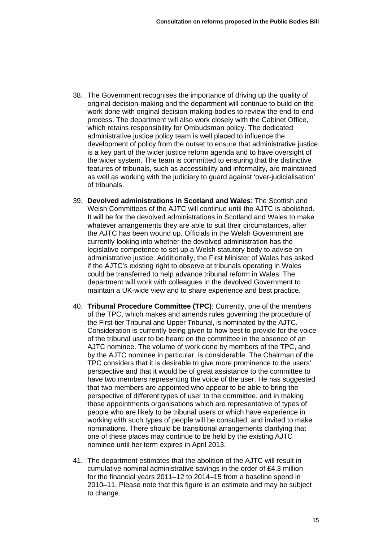- 38. The Government recognises the importance of driving up the quality of original decision-making and the department will continue to build on the work done with original decision-making bodies to review the end-to-end process. The department will also work closely with the Cabinet Office, which retains responsibility for Ombudsman policy. The dedicated administrative justice policy team is well placed to influence the development of policy from the outset to ensure that administrative justice is a key part of the wider justice reform agenda and to have oversight of the wider system. The team is committed to ensuring that the distinctive features of tribunals, such as accessibility and informality, are maintained as well as working with the judiciary to guard against 'over-judicialisation' of tribunals.
- 39. **Devolved administrations in Scotland and Wales**: The Scottish and Welsh Committees of the AJTC will continue until the AJTC is abolished. It will be for the devolved administrations in Scotland and Wales to make whatever arrangements they are able to suit their circumstances, after the AJTC has been wound up. Officials in the Welsh Government are currently looking into whether the devolved administration has the legislative competence to set up a Welsh statutory body to advise on administrative justice. Additionally, the First Minister of Wales has asked if the AJTC's existing right to observe at tribunals operating in Wales could be transferred to help advance tribunal reform in Wales. The department will work with colleagues in the devolved Government to maintain a UK-wide view and to share experience and best practice.
- 40. **Tribunal Procedure Committee (TPC)**: Currently, one of the members of the TPC, which makes and amends rules governing the procedure of the First-tier Tribunal and Upper Tribunal, is nominated by the AJTC. Consideration is currently being given to how best to provide for the voice of the tribunal user to be heard on the committee in the absence of an AJTC nominee. The volume of work done by members of the TPC, and by the AJTC nominee in particular, is considerable. The Chairman of the TPC considers that it is desirable to give more prominence to the users' perspective and that it would be of great assistance to the committee to have two members representing the voice of the user. He has suggested that two members are appointed who appear to be able to bring the perspective of different types of user to the committee, and in making those appointments organisations which are representative of types of people who are likely to be tribunal users or which have experience in working with such types of people will be consulted, and invited to make nominations. There should be transitional arrangements clarifying that one of these places may continue to be held by the existing AJTC nominee until her term expires in April 2013.
- 41. The department estimates that the abolition of the AJTC will result in cumulative nominal administrative savings in the order of £4.3 million for the financial years 2011–12 to 2014–15 from a baseline spend in 2010–11. Please note that this figure is an estimate and may be subject to change.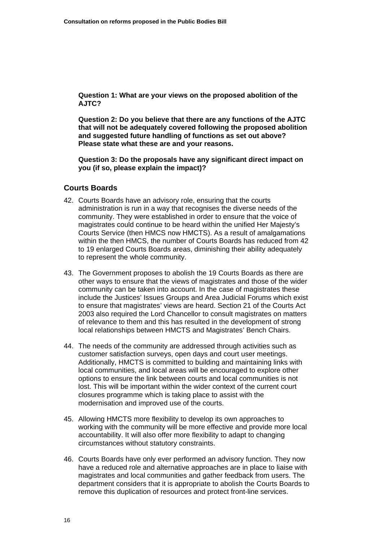**Question 1: What are your views on the proposed abolition of the AJTC?** 

**Question 2: Do you believe that there are any functions of the AJTC that will not be adequately covered following the proposed abolition and suggested future handling of functions as set out above? Please state what these are and your reasons.** 

**Question 3: Do the proposals have any significant direct impact on you (if so, please explain the impact)?** 

### **Courts Boards**

- 42. Courts Boards have an advisory role, ensuring that the courts administration is run in a way that recognises the diverse needs of the community. They were established in order to ensure that the voice of magistrates could continue to be heard within the unified Her Majesty's Courts Service (then HMCS now HMCTS). As a result of amalgamations within the then HMCS, the number of Courts Boards has reduced from 42 to 19 enlarged Courts Boards areas, diminishing their ability adequately to represent the whole community.
- 43. The Government proposes to abolish the 19 Courts Boards as there are other ways to ensure that the views of magistrates and those of the wider community can be taken into account. In the case of magistrates these include the Justices' Issues Groups and Area Judicial Forums which exist to ensure that magistrates' views are heard. Section 21 of the Courts Act 2003 also required the Lord Chancellor to consult magistrates on matters of relevance to them and this has resulted in the development of strong local relationships between HMCTS and Magistrates' Bench Chairs.
- 44. The needs of the community are addressed through activities such as customer satisfaction surveys, open days and court user meetings. Additionally, HMCTS is committed to building and maintaining links with local communities, and local areas will be encouraged to explore other options to ensure the link between courts and local communities is not lost. This will be important within the wider context of the current court closures programme which is taking place to assist with the modernisation and improved use of the courts.
- 45. Allowing HMCTS more flexibility to develop its own approaches to working with the community will be more effective and provide more local accountability. It will also offer more flexibility to adapt to changing circumstances without statutory constraints.
- 46. Courts Boards have only ever performed an advisory function. They now have a reduced role and alternative approaches are in place to liaise with magistrates and local communities and gather feedback from users. The department considers that it is appropriate to abolish the Courts Boards to remove this duplication of resources and protect front-line services.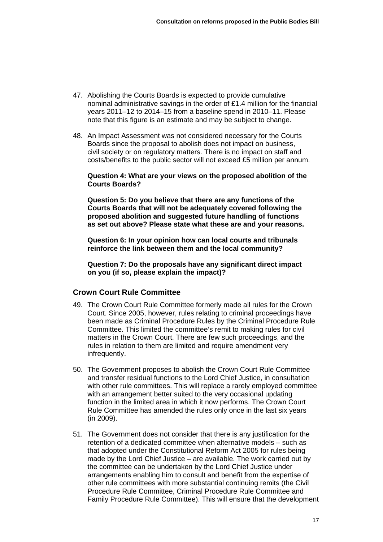- 47. Abolishing the Courts Boards is expected to provide cumulative nominal administrative savings in the order of £1.4 million for the financial years 2011–12 to 2014–15 from a baseline spend in 2010–11. Please note that this figure is an estimate and may be subject to change.
- 48. An Impact Assessment was not considered necessary for the Courts Boards since the proposal to abolish does not impact on business, civil society or on regulatory matters. There is no impact on staff and costs/benefits to the public sector will not exceed £5 million per annum.

#### **Question 4: What are your views on the proposed abolition of the Courts Boards?**

**Question 5: Do you believe that there are any functions of the Courts Boards that will not be adequately covered following the proposed abolition and suggested future handling of functions as set out above? Please state what these are and your reasons.** 

**Question 6: In your opinion how can local courts and tribunals reinforce the link between them and the local community?** 

**Question 7: Do the proposals have any significant direct impact on you (if so, please explain the impact)?** 

### **Crown Court Rule Committee**

- 49. The Crown Court Rule Committee formerly made all rules for the Crown Court. Since 2005, however, rules relating to criminal proceedings have been made as Criminal Procedure Rules by the Criminal Procedure Rule Committee. This limited the committee's remit to making rules for civil matters in the Crown Court. There are few such proceedings, and the rules in relation to them are limited and require amendment very infrequently.
- 50. The Government proposes to abolish the Crown Court Rule Committee and transfer residual functions to the Lord Chief Justice, in consultation with other rule committees. This will replace a rarely employed committee with an arrangement better suited to the very occasional updating function in the limited area in which it now performs. The Crown Court Rule Committee has amended the rules only once in the last six years (in 2009).
- 51. The Government does not consider that there is any justification for the retention of a dedicated committee when alternative models – such as that adopted under the Constitutional Reform Act 2005 for rules being made by the Lord Chief Justice – are available. The work carried out by the committee can be undertaken by the Lord Chief Justice under arrangements enabling him to consult and benefit from the expertise of other rule committees with more substantial continuing remits (the Civil Procedure Rule Committee, Criminal Procedure Rule Committee and Family Procedure Rule Committee). This will ensure that the development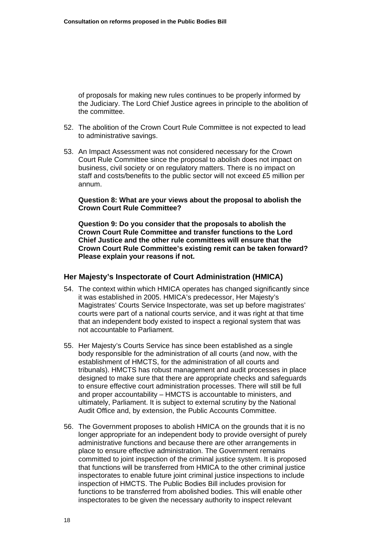of proposals for making new rules continues to be properly informed by the Judiciary. The Lord Chief Justice agrees in principle to the abolition of the committee.

- 52. The abolition of the Crown Court Rule Committee is not expected to lead to administrative savings.
- 53. An Impact Assessment was not considered necessary for the Crown Court Rule Committee since the proposal to abolish does not impact on business, civil society or on regulatory matters. There is no impact on staff and costs/benefits to the public sector will not exceed £5 million per annum.

#### **Question 8: What are your views about the proposal to abolish the Crown Court Rule Committee?**

**Question 9: Do you consider that the proposals to abolish the Crown Court Rule Committee and transfer functions to the Lord Chief Justice and the other rule committees will ensure that the Crown Court Rule Committee's existing remit can be taken forward? Please explain your reasons if not.** 

#### **Her Majesty's Inspectorate of Court Administration (HMICA)**

- 54. The context within which HMICA operates has changed significantly since it was established in 2005. HMICA's predecessor, Her Majesty's Magistrates' Courts Service Inspectorate, was set up before magistrates' courts were part of a national courts service, and it was right at that time that an independent body existed to inspect a regional system that was not accountable to Parliament.
- 55. Her Majesty's Courts Service has since been established as a single body responsible for the administration of all courts (and now, with the establishment of HMCTS, for the administration of all courts and tribunals). HMCTS has robust management and audit processes in place designed to make sure that there are appropriate checks and safeguards to ensure effective court administration processes. There will still be full and proper accountability – HMCTS is accountable to ministers, and ultimately, Parliament. It is subject to external scrutiny by the National Audit Office and, by extension, the Public Accounts Committee.
- 56. The Government proposes to abolish HMICA on the grounds that it is no longer appropriate for an independent body to provide oversight of purely administrative functions and because there are other arrangements in place to ensure effective administration. The Government remains committed to joint inspection of the criminal justice system. It is proposed that functions will be transferred from HMICA to the other criminal justice inspectorates to enable future joint criminal justice inspections to include inspection of HMCTS. The Public Bodies Bill includes provision for functions to be transferred from abolished bodies. This will enable other inspectorates to be given the necessary authority to inspect relevant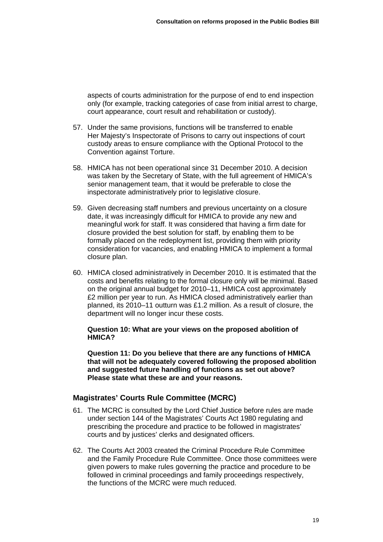aspects of courts administration for the purpose of end to end inspection only (for example, tracking categories of case from initial arrest to charge, court appearance, court result and rehabilitation or custody).

- 57. Under the same provisions, functions will be transferred to enable Her Majesty's Inspectorate of Prisons to carry out inspections of court custody areas to ensure compliance with the Optional Protocol to the Convention against Torture.
- 58. HMICA has not been operational since 31 December 2010. A decision was taken by the Secretary of State, with the full agreement of HMICA's senior management team, that it would be preferable to close the inspectorate administratively prior to legislative closure.
- 59. Given decreasing staff numbers and previous uncertainty on a closure date, it was increasingly difficult for HMICA to provide any new and meaningful work for staff. It was considered that having a firm date for closure provided the best solution for staff, by enabling them to be formally placed on the redeployment list, providing them with priority consideration for vacancies, and enabling HMICA to implement a formal closure plan.
- 60. HMICA closed administratively in December 2010. It is estimated that the costs and benefits relating to the formal closure only will be minimal. Based on the original annual budget for 2010–11, HMICA cost approximately £2 million per year to run. As HMICA closed administratively earlier than planned, its 2010–11 outturn was £1.2 million. As a result of closure, the department will no longer incur these costs.

**Question 10: What are your views on the proposed abolition of HMICA?** 

**Question 11: Do you believe that there are any functions of HMICA that will not be adequately covered following the proposed abolition and suggested future handling of functions as set out above? Please state what these are and your reasons.** 

# **Magistrates' Courts Rule Committee (MCRC)**

- 61. The MCRC is consulted by the Lord Chief Justice before rules are made under section 144 of the Magistrates' Courts Act 1980 regulating and prescribing the procedure and practice to be followed in magistrates' courts and by justices' clerks and designated officers.
- 62. The Courts Act 2003 created the Criminal Procedure Rule Committee and the Family Procedure Rule Committee. Once those committees were given powers to make rules governing the practice and procedure to be followed in criminal proceedings and family proceedings respectively, the functions of the MCRC were much reduced.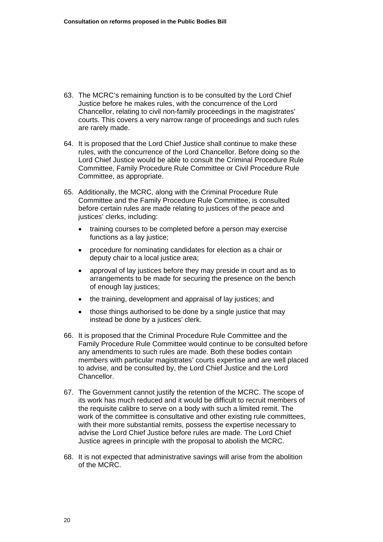- 63. The MCRC's remaining function is to be consulted by the Lord Chief Justice before he makes rules, with the concurrence of the Lord Chancellor, relating to civil non-family proceedings in the magistrates' courts. This covers a very narrow range of proceedings and such rules are rarely made.
- 64. It is proposed that the Lord Chief Justice shall continue to make these rules, with the concurrence of the Lord Chancellor. Before doing so the Lord Chief Justice would be able to consult the Criminal Procedure Rule Committee, Family Procedure Rule Committee or Civil Procedure Rule Committee, as appropriate.
- 65. Additionally, the MCRC, along with the Criminal Procedure Rule Committee and the Family Procedure Rule Committee, is consulted before certain rules are made relating to justices of the peace and justices' clerks, including:
	- training courses to be completed before a person may exercise functions as a lay justice;
	- procedure for nominating candidates for election as a chair or deputy chair to a local justice area:
	- approval of lay justices before they may preside in court and as to arrangements to be made for securing the presence on the bench of enough lay justices;
	- the training, development and appraisal of lay justices; and
	- those things authorised to be done by a single justice that may instead be done by a justices' clerk.
- 66. It is proposed that the Criminal Procedure Rule Committee and the Family Procedure Rule Committee would continue to be consulted before any amendments to such rules are made. Both these bodies contain members with particular magistrates' courts expertise and are well placed to advise, and be consulted by, the Lord Chief Justice and the Lord Chancellor.
- 67. The Government cannot justify the retention of the MCRC. The scope of its work has much reduced and it would be difficult to recruit members of the requisite calibre to serve on a body with such a limited remit. The work of the committee is consultative and other existing rule committees, with their more substantial remits, possess the expertise necessary to advise the Lord Chief Justice before rules are made. The Lord Chief Justice agrees in principle with the proposal to abolish the MCRC.
- 68. It is not expected that administrative savings will arise from the abolition of the MCRC.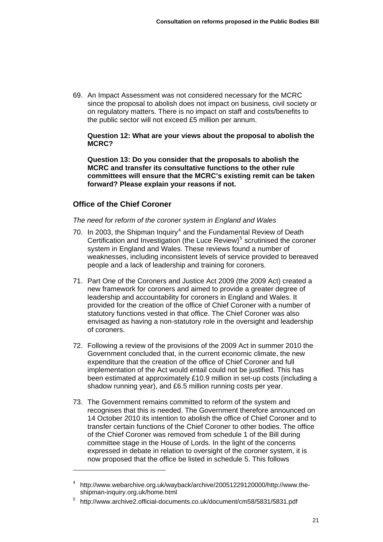69. An Impact Assessment was not considered necessary for the MCRC since the proposal to abolish does not impact on business, civil society or on regulatory matters. There is no impact on staff and costs/benefits to the public sector will not exceed £5 million per annum.

**Question 12: What are your views about the proposal to abolish the MCRC?** 

**Question 13: Do you consider that the proposals to abolish the MCRC and transfer its consultative functions to the other rule committees will ensure that the MCRC's existing remit can be taken forward? Please explain your reasons if not.**

### **Office of the Chief Coroner**

### *The need for reform of the coroner system in England and Wales*

- 70. In 2003, the Shipman Inquiry<sup>[4](#page-23-0)</sup> and the Fundamental Review of Death Certification and Investigation (the Luce Review)<sup>[5](#page-23-1)</sup> scrutinised the coroner system in England and Wales. These reviews found a number of weaknesses, including inconsistent levels of service provided to bereaved people and a lack of leadership and training for coroners.
- 71. Part One of the Coroners and Justice Act 2009 (the 2009 Act) created a new framework for coroners and aimed to provide a greater degree of leadership and accountability for coroners in England and Wales. It provided for the creation of the office of Chief Coroner with a number of statutory functions vested in that office. The Chief Coroner was also envisaged as having a non-statutory role in the oversight and leadership of coroners.
- 72. Following a review of the provisions of the 2009 Act in summer 2010 the Government concluded that, in the current economic climate, the new expenditure that the creation of the office of Chief Coroner and full implementation of the Act would entail could not be justified. This has been estimated at approximately £10.9 million in set-up costs (including a shadow running year), and £6.5 million running costs per year.
- 73. The Government remains committed to reform of the system and recognises that this is needed. The Government therefore announced on 14 October 2010 its intention to abolish the office of Chief Coroner and to transfer certain functions of the Chief Coroner to other bodies. The office of the Chief Coroner was removed from schedule 1 of the Bill during committee stage in the House of Lords. In the light of the concerns expressed in debate in relation to oversight of the coroner system, it is now proposed that the office be listed in schedule 5. This follows

<span id="page-23-0"></span><sup>4</sup> [http://www.webarchive.org.uk/wayback/archive/20051229120000/http://www.the](http://www.webarchive.org.uk/wayback/archive/20051229120000/http://www.the-shipman-inquiry.org.uk/home.html)[shipman-inquiry.org.uk/home.html](http://www.webarchive.org.uk/wayback/archive/20051229120000/http://www.the-shipman-inquiry.org.uk/home.html) 

<span id="page-23-1"></span><sup>5</sup> <http://www.archive2.official-documents.co.uk/document/cm58/5831/5831.pdf>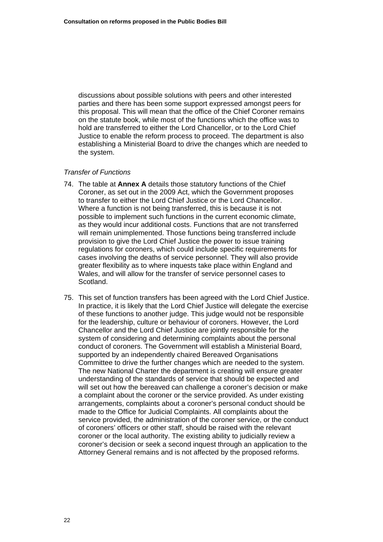discussions about possible solutions with peers and other interested parties and there has been some support expressed amongst peers for this proposal. This will mean that the office of the Chief Coroner remains on the statute book, while most of the functions which the office was to hold are transferred to either the Lord Chancellor, or to the Lord Chief Justice to enable the reform process to proceed. The department is also establishing a Ministerial Board to drive the changes which are needed to the system.

### *Transfer of Functions*

- 74. The table at **[Annex A](#page-41-0)** details those statutory functions of the Chief Coroner, as set out in the 2009 Act, which the Government proposes to transfer to either the Lord Chief Justice or the Lord Chancellor. Where a function is not being transferred, this is because it is not possible to implement such functions in the current economic climate, as they would incur additional costs. Functions that are not transferred will remain unimplemented. Those functions being transferred include provision to give the Lord Chief Justice the power to issue training regulations for coroners, which could include specific requirements for cases involving the deaths of service personnel. They will also provide greater flexibility as to where inquests take place within England and Wales, and will allow for the transfer of service personnel cases to Scotland.
- 75. This set of function transfers has been agreed with the Lord Chief Justice. In practice, it is likely that the Lord Chief Justice will delegate the exercise of these functions to another judge. This judge would not be responsible for the leadership, culture or behaviour of coroners. However, the Lord Chancellor and the Lord Chief Justice are jointly responsible for the system of considering and determining complaints about the personal conduct of coroners. The Government will establish a Ministerial Board, supported by an independently chaired Bereaved Organisations Committee to drive the further changes which are needed to the system. The new National Charter the department is creating will ensure greater understanding of the standards of service that should be expected and will set out how the bereaved can challenge a coroner's decision or make a complaint about the coroner or the service provided. As under existing arrangements, complaints about a coroner's personal conduct should be made to the Office for Judicial Complaints. All complaints about the service provided, the administration of the coroner service, or the conduct of coroners' officers or other staff, should be raised with the relevant coroner or the local authority. The existing ability to judicially review a coroner's decision or seek a second inquest through an application to the Attorney General remains and is not affected by the proposed reforms.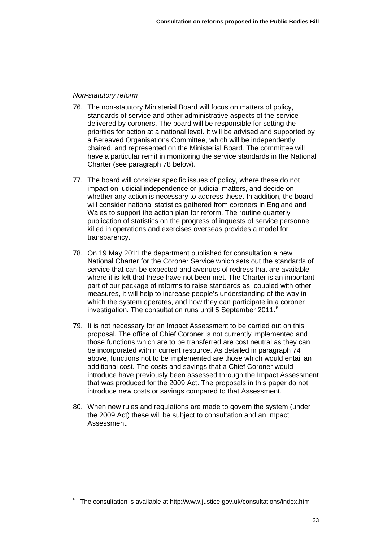#### *Non-statutory reform*

- 76. The non-statutory Ministerial Board will focus on matters of policy, standards of service and other administrative aspects of the service delivered by coroners. The board will be responsible for setting the priorities for action at a national level. It will be advised and supported by a Bereaved Organisations Committee, which will be independently chaired, and represented on the Ministerial Board. The committee will have a particular remit in monitoring the service standards in the National Charter (see paragraph 78 below).
- 77. The board will consider specific issues of policy, where these do not impact on judicial independence or judicial matters, and decide on whether any action is necessary to address these. In addition, the board will consider national statistics gathered from coroners in England and Wales to support the action plan for reform. The routine quarterly publication of statistics on the progress of inquests of service personnel killed in operations and exercises overseas provides a model for transparency.
- 78. On 19 May 2011 the department published for consultation a new National Charter for the Coroner Service which sets out the standards of service that can be expected and avenues of redress that are available where it is felt that these have not been met. The Charter is an important part of our package of reforms to raise standards as, coupled with other measures, it will help to increase people's understanding of the way in which the system operates, and how they can participate in a coroner investigation. The consultation runs until 5 September 2011.<sup>[6](#page-25-0)</sup>
- 79. It is not necessary for an Impact Assessment to be carried out on this proposal. The office of Chief Coroner is not currently implemented and those functions which are to be transferred are cost neutral as they can be incorporated within current resource. As detailed in paragraph 74 above, functions not to be implemented are those which would entail an additional cost. The costs and savings that a Chief Coroner would introduce have previously been assessed through the Impact Assessment that was produced for the 2009 Act. The proposals in this paper do not introduce new costs or savings compared to that Assessment.
- 80. When new rules and regulations are made to govern the system (under the 2009 Act) these will be subject to consultation and an Impact Assessment.

<span id="page-25-0"></span> $6$  The consultation is available at http://www.justice.gov.uk/consultations/index.htm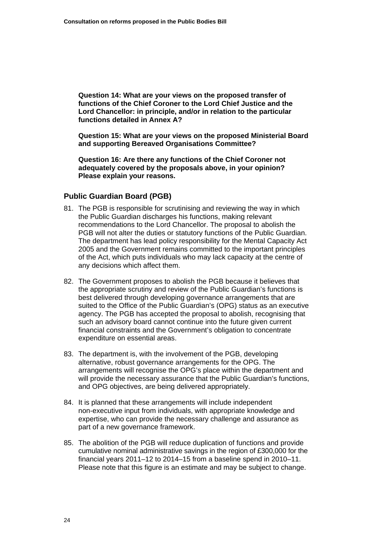**Question 14: What are your views on the proposed transfer of functions of the Chief Coroner to the Lord Chief Justice and the Lord Chancellor: in principle, and/or in relation to the particular functions detailed in [Annex A?](#page-41-0)** 

**Question 15: What are your views on the proposed Ministerial Board and supporting Bereaved Organisations Committee?** 

**Question 16: Are there any functions of the Chief Coroner not adequately covered by the proposals above, in your opinion? Please explain your reasons.** 

### **Public Guardian Board (PGB)**

- 81. The PGB is responsible for scrutinising and reviewing the way in which the Public Guardian discharges his functions, making relevant recommendations to the Lord Chancellor. The proposal to abolish the PGB will not alter the duties or statutory functions of the Public Guardian. The department has lead policy responsibility for the Mental Capacity Act 2005 and the Government remains committed to the important principles of the Act, which puts individuals who may lack capacity at the centre of any decisions which affect them.
- 82. The Government proposes to abolish the PGB because it believes that the appropriate scrutiny and review of the Public Guardian's functions is best delivered through developing governance arrangements that are suited to the Office of the Public Guardian's (OPG) status as an executive agency. The PGB has accepted the proposal to abolish, recognising that such an advisory board cannot continue into the future given current financial constraints and the Government's obligation to concentrate expenditure on essential areas.
- 83. The department is, with the involvement of the PGB, developing alternative, robust governance arrangements for the OPG. The arrangements will recognise the OPG's place within the department and will provide the necessary assurance that the Public Guardian's functions, and OPG objectives, are being delivered appropriately.
- 84. It is planned that these arrangements will include independent non-executive input from individuals, with appropriate knowledge and expertise, who can provide the necessary challenge and assurance as part of a new governance framework.
- 85. The abolition of the PGB will reduce duplication of functions and provide cumulative nominal administrative savings in the region of £300,000 for the financial years 2011–12 to 2014–15 from a baseline spend in 2010–11. Please note that this figure is an estimate and may be subject to change.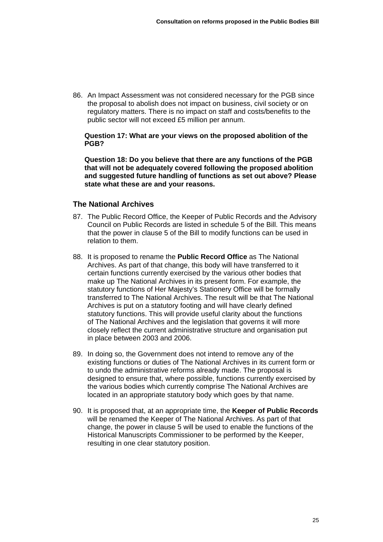86. An Impact Assessment was not considered necessary for the PGB since the proposal to abolish does not impact on business, civil society or on regulatory matters. There is no impact on staff and costs/benefits to the public sector will not exceed £5 million per annum.

**Question 17: What are your views on the proposed abolition of the PGB?** 

**Question 18: Do you believe that there are any functions of the PGB that will not be adequately covered following the proposed abolition and suggested future handling of functions as set out above? Please state what these are and your reasons.** 

### **The National Archives**

- 87. The Public Record Office, the Keeper of Public Records and the Advisory Council on Public Records are listed in schedule 5 of the Bill. This means that the power in clause 5 of the Bill to modify functions can be used in relation to them.
- 88. It is proposed to rename the **Public Record Office** as The National Archives. As part of that change, this body will have transferred to it certain functions currently exercised by the various other bodies that make up The National Archives in its present form. For example, the statutory functions of Her Majesty's Stationery Office will be formally transferred to The National Archives. The result will be that The National Archives is put on a statutory footing and will have clearly defined statutory functions. This will provide useful clarity about the functions of The National Archives and the legislation that governs it will more closely reflect the current administrative structure and organisation put in place between 2003 and 2006.
- 89. In doing so, the Government does not intend to remove any of the existing functions or duties of The National Archives in its current form or to undo the administrative reforms already made. The proposal is designed to ensure that, where possible, functions currently exercised by the various bodies which currently comprise The National Archives are located in an appropriate statutory body which goes by that name.
- 90. It is proposed that, at an appropriate time, the **Keeper of Public Records** will be renamed the Keeper of The National Archives. As part of that change, the power in clause 5 will be used to enable the functions of the Historical Manuscripts Commissioner to be performed by the Keeper, resulting in one clear statutory position.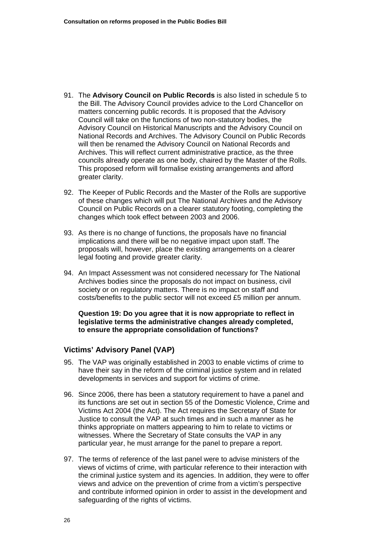- 91. The **Advisory Council on Public Records** is also listed in schedule 5 to the Bill. The Advisory Council provides advice to the Lord Chancellor on matters concerning public records. It is proposed that the Advisory Council will take on the functions of two non-statutory bodies, the Advisory Council on Historical Manuscripts and the Advisory Council on National Records and Archives. The Advisory Council on Public Records will then be renamed the Advisory Council on National Records and Archives. This will reflect current administrative practice, as the three councils already operate as one body, chaired by the Master of the Rolls. This proposed reform will formalise existing arrangements and afford greater clarity.
- 92. The Keeper of Public Records and the Master of the Rolls are supportive of these changes which will put The National Archives and the Advisory Council on Public Records on a clearer statutory footing, completing the changes which took effect between 2003 and 2006.
- 93. As there is no change of functions, the proposals have no financial implications and there will be no negative impact upon staff. The proposals will, however, place the existing arrangements on a clearer legal footing and provide greater clarity.
- 94. An Impact Assessment was not considered necessary for The National Archives bodies since the proposals do not impact on business, civil society or on regulatory matters. There is no impact on staff and costs/benefits to the public sector will not exceed £5 million per annum.

### **Question 19: Do you agree that it is now appropriate to reflect in legislative terms the administrative changes already completed, to ensure the appropriate consolidation of functions?**

### **Victims' Advisory Panel (VAP)**

- 95. The VAP was originally established in 2003 to enable victims of crime to have their say in the reform of the criminal justice system and in related developments in services and support for victims of crime.
- 96. Since 2006, there has been a statutory requirement to have a panel and its functions are set out in section 55 of the Domestic Violence, Crime and Victims Act 2004 (the Act). The Act requires the Secretary of State for Justice to consult the VAP at such times and in such a manner as he thinks appropriate on matters appearing to him to relate to victims or witnesses. Where the Secretary of State consults the VAP in any particular year, he must arrange for the panel to prepare a report.
- 97. The terms of reference of the last panel were to advise ministers of the views of victims of crime, with particular reference to their interaction with the criminal justice system and its agencies. In addition, they were to offer views and advice on the prevention of crime from a victim's perspective and contribute informed opinion in order to assist in the development and safeguarding of the rights of victims.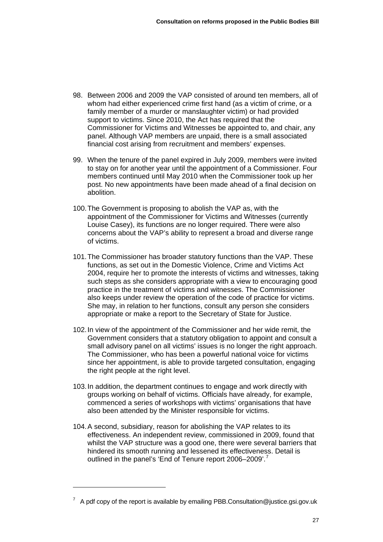- 98. Between 2006 and 2009 the VAP consisted of around ten members, all of whom had either experienced crime first hand (as a victim of crime, or a family member of a murder or manslaughter victim) or had provided support to victims. Since 2010, the Act has required that the Commissioner for Victims and Witnesses be appointed to, and chair, any panel. Although VAP members are unpaid, there is a small associated financial cost arising from recruitment and members' expenses.
- 99. When the tenure of the panel expired in July 2009, members were invited to stay on for another year until the appointment of a Commissioner. Four members continued until May 2010 when the Commissioner took up her post. No new appointments have been made ahead of a final decision on abolition.
- 100. The Government is proposing to abolish the VAP as, with the appointment of the Commissioner for Victims and Witnesses (currently Louise Casey), its functions are no longer required. There were also concerns about the VAP's ability to represent a broad and diverse range of victims.
- 101. The Commissioner has broader statutory functions than the VAP. These functions, as set out in the Domestic Violence, Crime and Victims Act 2004, require her to promote the interests of victims and witnesses, taking such steps as she considers appropriate with a view to encouraging good practice in the treatment of victims and witnesses. The Commissioner also keeps under review the operation of the code of practice for victims. She may, in relation to her functions, consult any person she considers appropriate or make a report to the Secretary of State for Justice.
- 102. In view of the appointment of the Commissioner and her wide remit, the Government considers that a statutory obligation to appoint and consult a small advisory panel on all victims' issues is no longer the right approach. The Commissioner, who has been a powerful national voice for victims since her appointment, is able to provide targeted consultation, engaging the right people at the right level.
- 103. In addition, the department continues to engage and work directly with groups working on behalf of victims. Officials have already, for example, commenced a series of workshops with victims' organisations that have also been attended by the Minister responsible for victims.
- 104. A second, subsidiary, reason for abolishing the VAP relates to its effectiveness. An independent review, commissioned in 2009, found that whilst the VAP structure was a good one, there were several barriers that hindered its smooth running and lessened its effectiveness. Detail is outlined in the panel's 'End of Tenure report 2006–2009'.<sup>[7](#page-29-0)</sup>

<span id="page-29-0"></span> $7$  A pdf copy of the report is available by emailing PBB.Consultation@justice.gsi.gov.uk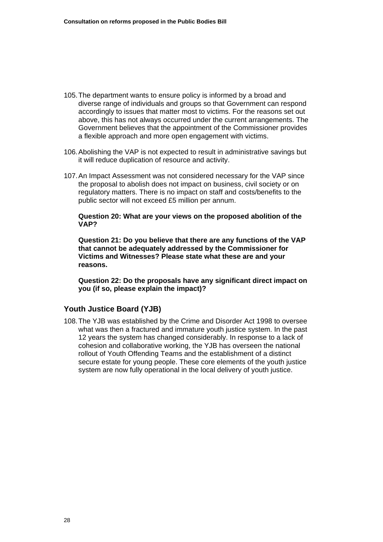- 105. The department wants to ensure policy is informed by a broad and diverse range of individuals and groups so that Government can respond accordingly to issues that matter most to victims. For the reasons set out above, this has not always occurred under the current arrangements. The Government believes that the appointment of the Commissioner provides a flexible approach and more open engagement with victims.
- 106. Abolishing the VAP is not expected to result in administrative savings but it will reduce duplication of resource and activity.
- 107. An Impact Assessment was not considered necessary for the VAP since the proposal to abolish does not impact on business, civil society or on regulatory matters. There is no impact on staff and costs/benefits to the public sector will not exceed £5 million per annum.

**Question 20: What are your views on the proposed abolition of the VAP?** 

**Question 21: Do you believe that there are any functions of the VAP that cannot be adequately addressed by the Commissioner for Victims and Witnesses? Please state what these are and your reasons.** 

**Question 22: Do the proposals have any significant direct impact on you (if so, please explain the impact)?** 

### **Youth Justice Board (YJB)**

108. The YJB was established by the Crime and Disorder Act 1998 to oversee what was then a fractured and immature youth justice system. In the past 12 years the system has changed considerably. In response to a lack of cohesion and collaborative working, the YJB has overseen the national rollout of Youth Offending Teams and the establishment of a distinct secure estate for young people. These core elements of the youth justice system are now fully operational in the local delivery of youth justice.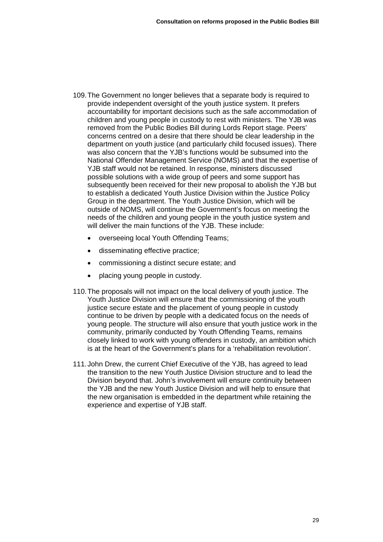- 109. The Government no longer believes that a separate body is required to provide independent oversight of the youth justice system. It prefers accountability for important decisions such as the safe accommodation of children and young people in custody to rest with ministers. The YJB was removed from the Public Bodies Bill during Lords Report stage. Peers' concerns centred on a desire that there should be clear leadership in the department on youth justice (and particularly child focused issues). There was also concern that the YJB's functions would be subsumed into the National Offender Management Service (NOMS) and that the expertise of YJB staff would not be retained. In response, ministers discussed possible solutions with a wide group of peers and some support has subsequently been received for their new proposal to abolish the YJB but to establish a dedicated Youth Justice Division within the Justice Policy Group in the department. The Youth Justice Division, which will be outside of NOMS, will continue the Government's focus on meeting the needs of the children and young people in the youth justice system and will deliver the main functions of the YJB. These include:
	- overseeing local Youth Offending Teams;
	- disseminating effective practice;
	- commissioning a distinct secure estate; and
	- placing young people in custody.
- 110. The proposals will not impact on the local delivery of youth justice. The Youth Justice Division will ensure that the commissioning of the youth justice secure estate and the placement of young people in custody continue to be driven by people with a dedicated focus on the needs of young people. The structure will also ensure that youth justice work in the community, primarily conducted by Youth Offending Teams, remains closely linked to work with young offenders in custody, an ambition which is at the heart of the Government's plans for a 'rehabilitation revolution'.
- 111. John Drew, the current Chief Executive of the YJB, has agreed to lead the transition to the new Youth Justice Division structure and to lead the Division beyond that. John's involvement will ensure continuity between the YJB and the new Youth Justice Division and will help to ensure that the new organisation is embedded in the department while retaining the experience and expertise of YJB staff.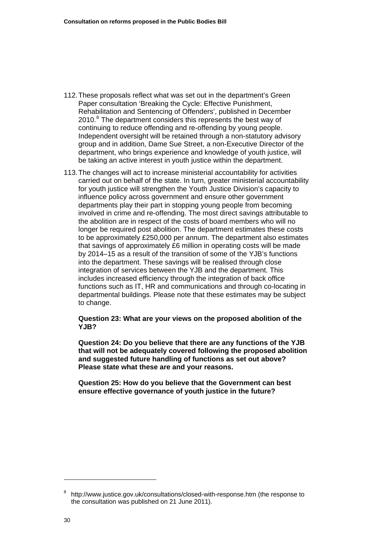- 112. These proposals reflect what was set out in the department's Green Paper consultation 'Breaking the Cycle: Effective Punishment, Rehabilitation and Sentencing of Offenders', published in December 2010.<sup>[8](#page-32-0)</sup> The department considers this represents the best way of continuing to reduce offending and re-offending by young people. Independent oversight will be retained through a non-statutory advisory group and in addition, Dame Sue Street, a non-Executive Director of the department, who brings experience and knowledge of youth justice, will be taking an active interest in youth justice within the department.
- 113. The changes will act to increase ministerial accountability for activities carried out on behalf of the state. In turn, greater ministerial accountability for youth justice will strengthen the Youth Justice Division's capacity to influence policy across government and ensure other government departments play their part in stopping young people from becoming involved in crime and re-offending. The most direct savings attributable to the abolition are in respect of the costs of board members who will no longer be required post abolition. The department estimates these costs to be approximately £250,000 per annum. The department also estimates that savings of approximately £6 million in operating costs will be made by 2014–15 as a result of the transition of some of the YJB's functions into the department. These savings will be realised through close integration of services between the YJB and the department. This includes increased efficiency through the integration of back office functions such as IT, HR and communications and through co-locating in departmental buildings. Please note that these estimates may be subject to change.

**Question 23: What are your views on the proposed abolition of the YJB?** 

**Question 24: Do you believe that there are any functions of the YJB that will not be adequately covered following the proposed abolition and suggested future handling of functions as set out above? Please state what these are and your reasons.** 

**Question 25: How do you believe that the Government can best ensure effective governance of youth justice in the future?** 

 $\overline{a}$ 

<span id="page-32-0"></span><sup>8</sup> <http://www.justice.gov.uk/consultations/closed-with-response.htm> (the response to the consultation was published on 21 June 2011).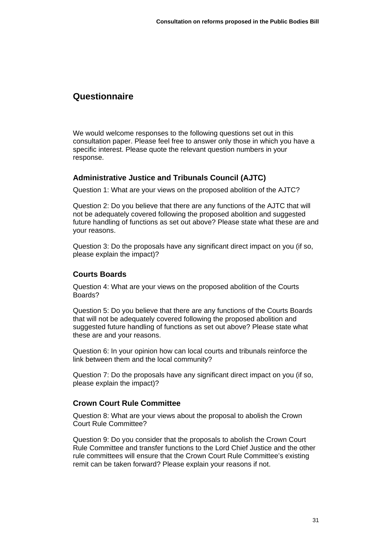# <span id="page-33-0"></span>**Questionnaire**

We would welcome responses to the following questions set out in this consultation paper. Please feel free to answer only those in which you have a specific interest. Please quote the relevant question numbers in your response.

# **Administrative Justice and Tribunals Council (AJTC)**

Question 1: What are your views on the proposed abolition of the AJTC?

Question 2: Do you believe that there are any functions of the AJTC that will not be adequately covered following the proposed abolition and suggested future handling of functions as set out above? Please state what these are and your reasons.

Question 3: Do the proposals have any significant direct impact on you (if so, please explain the impact)?

# **Courts Boards**

Question 4: What are your views on the proposed abolition of the Courts Boards?

Question 5: Do you believe that there are any functions of the Courts Boards that will not be adequately covered following the proposed abolition and suggested future handling of functions as set out above? Please state what these are and your reasons.

Question 6: In your opinion how can local courts and tribunals reinforce the link between them and the local community?

Question 7: Do the proposals have any significant direct impact on you (if so, please explain the impact)?

# **Crown Court Rule Committee**

Question 8: What are your views about the proposal to abolish the Crown Court Rule Committee?

Question 9: Do you consider that the proposals to abolish the Crown Court Rule Committee and transfer functions to the Lord Chief Justice and the other rule committees will ensure that the Crown Court Rule Committee's existing remit can be taken forward? Please explain your reasons if not.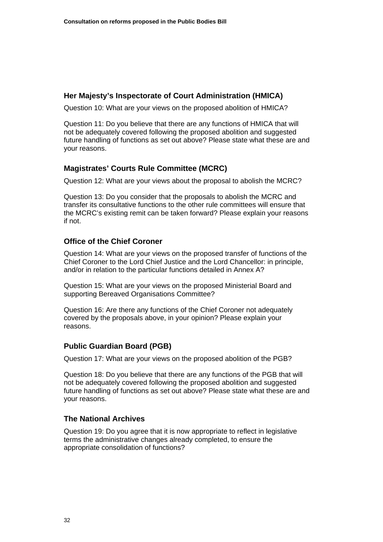# **Her Majesty's Inspectorate of Court Administration (HMICA)**

Question 10: What are your views on the proposed abolition of HMICA?

Question 11: Do you believe that there are any functions of HMICA that will not be adequately covered following the proposed abolition and suggested future handling of functions as set out above? Please state what these are and your reasons.

# **Magistrates' Courts Rule Committee (MCRC)**

Question 12: What are your views about the proposal to abolish the MCRC?

Question 13: Do you consider that the proposals to abolish the MCRC and transfer its consultative functions to the other rule committees will ensure that the MCRC's existing remit can be taken forward? Please explain your reasons if not.

# **Office of the Chief Coroner**

Question 14: What are your views on the proposed transfer of functions of the Chief Coroner to the Lord Chief Justice and the Lord Chancellor: in principle, and/or in relation to the particular functions detailed in [Annex A?](#page-41-0)

Question 15: What are your views on the proposed Ministerial Board and supporting Bereaved Organisations Committee?

Question 16: Are there any functions of the Chief Coroner not adequately covered by the proposals above, in your opinion? Please explain your reasons.

# **Public Guardian Board (PGB)**

Question 17: What are your views on the proposed abolition of the PGB?

Question 18: Do you believe that there are any functions of the PGB that will not be adequately covered following the proposed abolition and suggested future handling of functions as set out above? Please state what these are and your reasons.

# **The National Archives**

Question 19: Do you agree that it is now appropriate to reflect in legislative terms the administrative changes already completed, to ensure the appropriate consolidation of functions?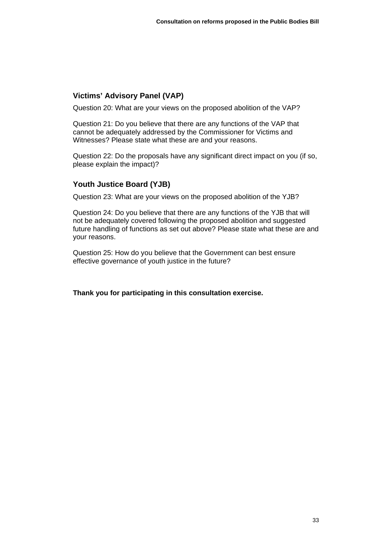# **Victims' Advisory Panel (VAP)**

Question 20: What are your views on the proposed abolition of the VAP?

Question 21: Do you believe that there are any functions of the VAP that cannot be adequately addressed by the Commissioner for Victims and Witnesses? Please state what these are and your reasons.

Question 22: Do the proposals have any significant direct impact on you (if so, please explain the impact)?

# **Youth Justice Board (YJB)**

Question 23: What are your views on the proposed abolition of the YJB?

Question 24: Do you believe that there are any functions of the YJB that will not be adequately covered following the proposed abolition and suggested future handling of functions as set out above? Please state what these are and your reasons.

Question 25: How do you believe that the Government can best ensure effective governance of youth justice in the future?

**Thank you for participating in this consultation exercise.**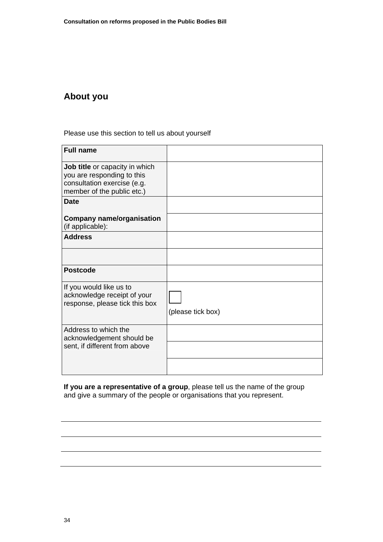# <span id="page-36-0"></span>**About you**

Please use this section to tell us about yourself

| <b>Full name</b>                                                                                                          |                   |
|---------------------------------------------------------------------------------------------------------------------------|-------------------|
| Job title or capacity in which<br>you are responding to this<br>consultation exercise (e.g.<br>member of the public etc.) |                   |
| <b>Date</b>                                                                                                               |                   |
| <b>Company name/organisation</b><br>(if applicable):                                                                      |                   |
| <b>Address</b>                                                                                                            |                   |
|                                                                                                                           |                   |
| <b>Postcode</b>                                                                                                           |                   |
| If you would like us to<br>acknowledge receipt of your<br>response, please tick this box                                  | (please tick box) |
| Address to which the<br>acknowledgement should be<br>sent, if different from above                                        |                   |
|                                                                                                                           |                   |

**If you are a representative of a group**, please tell us the name of the group and give a summary of the people or organisations that you represent.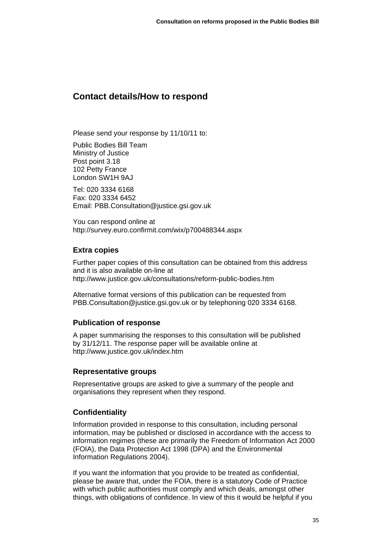# <span id="page-37-0"></span>**Contact details/How to respond**

Please send your response by 11/10/11 to:

Public Bodies Bill Team Ministry of Justice Post point 3.18 102 Petty France London SW1H 9AJ

Tel: 020 3334 6168 Fax: 020 3334 6452 Email: [PBB.Consultation@justice.gsi.gov.uk](mailto:PBB.Consultation@justice.gsi.gov.uk) 

You can respond online at <http://survey.euro.confirmit.com/wix/p700488344.aspx>

# **Extra copies**

Further paper copies of this consultation can be obtained from this address and it is also available on-line at http://www.justice.gov.uk/consultations/reform-public-bodies.htm

Alternative format versions of this publication can be requested from [PBB.Consultation@justice.gsi.gov.uk](mailto:PBB.Consultation@justice.gsi.gov.uk) or by telephoning 020 3334 6168.

# **Publication of response**

A paper summarising the responses to this consultation will be published by 31/12/11. The response paper will be available online at <http://www.justice.gov.uk/index.htm>

# **Representative groups**

Representative groups are asked to give a summary of the people and organisations they represent when they respond.

# **Confidentiality**

Information provided in response to this consultation, including personal information, may be published or disclosed in accordance with the access to information regimes (these are primarily the Freedom of Information Act 2000 (FOIA), the Data Protection Act 1998 (DPA) and the Environmental Information Regulations 2004).

If you want the information that you provide to be treated as confidential, please be aware that, under the FOIA, there is a statutory Code of Practice with which public authorities must comply and which deals, amongst other things, with obligations of confidence. In view of this it would be helpful if you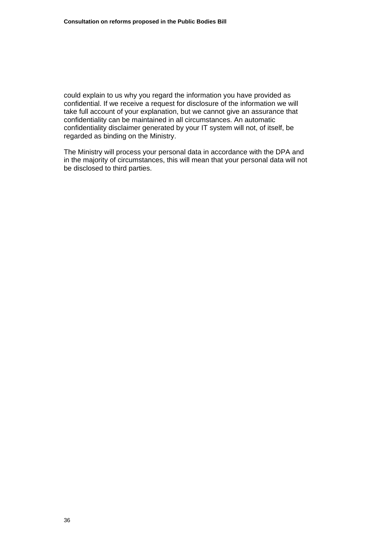could explain to us why you regard the information you have provided as confidential. If we receive a request for disclosure of the information we will take full account of your explanation, but we cannot give an assurance that confidentiality can be maintained in all circumstances. An automatic confidentiality disclaimer generated by your IT system will not, of itself, be regarded as binding on the Ministry.

The Ministry will process your personal data in accordance with the DPA and in the majority of circumstances, this will mean that your personal data will not be disclosed to third parties.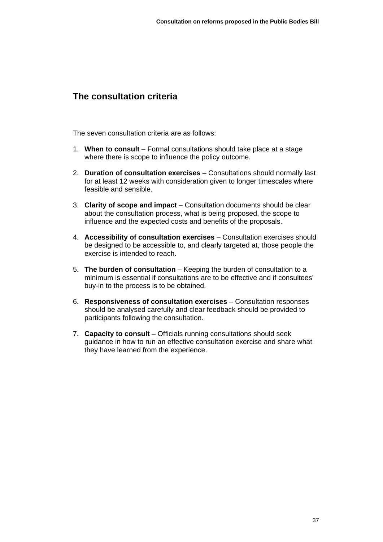# <span id="page-39-0"></span>**The consultation criteria**

The seven consultation criteria are as follows:

- 1. **When to consult** Formal consultations should take place at a stage where there is scope to influence the policy outcome.
- 2. **Duration of consultation exercises** Consultations should normally last for at least 12 weeks with consideration given to longer timescales where feasible and sensible.
- 3. **Clarity of scope and impact** Consultation documents should be clear about the consultation process, what is being proposed, the scope to influence and the expected costs and benefits of the proposals.
- 4. **Accessibility of consultation exercises** Consultation exercises should be designed to be accessible to, and clearly targeted at, those people the exercise is intended to reach.
- 5. **The burden of consultation** Keeping the burden of consultation to a minimum is essential if consultations are to be effective and if consultees' buy-in to the process is to be obtained.
- 6. **Responsiveness of consultation exercises** Consultation responses should be analysed carefully and clear feedback should be provided to participants following the consultation.
- 7. **Capacity to consult** Officials running consultations should seek guidance in how to run an effective consultation exercise and share what they have learned from the experience.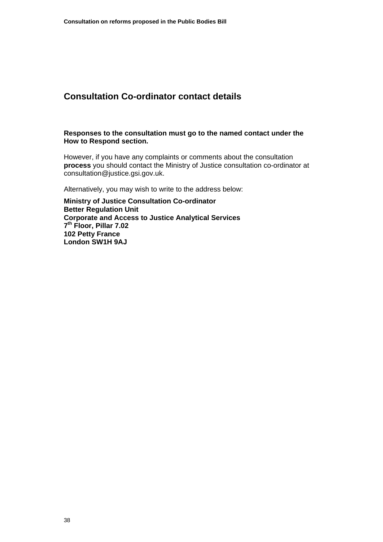# <span id="page-40-0"></span>**Consultation Co-ordinator contact details**

#### **Responses to the consultation must go to the named contact under the How to Respond section.**

However, if you have any complaints or comments about the consultation **process** you should contact the Ministry of Justice consultation co-ordinator at [consultation@justice.gsi.gov.uk.](mailto:consultation@justice.gsi.gov.uk)

Alternatively, you may wish to write to the address below:

**Ministry of Justice Consultation Co-ordinator Better Regulation Unit Corporate and Access to Justice Analytical Services 7th Floor, Pillar 7.02 102 Petty France London SW1H 9AJ**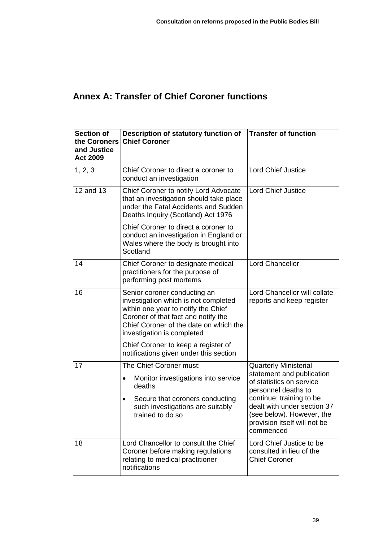# <span id="page-41-0"></span>**Annex A: Transfer of Chief Coroner functions**

| <b>Section of</b><br>the Coroners<br>and Justice<br><b>Act 2009</b> | Description of statutory function of<br><b>Chief Coroner</b>                                                                                                                                                               | <b>Transfer of function</b>                                                                                                                                                                                                                       |
|---------------------------------------------------------------------|----------------------------------------------------------------------------------------------------------------------------------------------------------------------------------------------------------------------------|---------------------------------------------------------------------------------------------------------------------------------------------------------------------------------------------------------------------------------------------------|
| 1, 2, 3                                                             | Chief Coroner to direct a coroner to<br>conduct an investigation                                                                                                                                                           | <b>Lord Chief Justice</b>                                                                                                                                                                                                                         |
| 12 and 13                                                           | Chief Coroner to notify Lord Advocate<br>that an investigation should take place<br>under the Fatal Accidents and Sudden<br>Deaths Inquiry (Scotland) Act 1976                                                             | <b>Lord Chief Justice</b>                                                                                                                                                                                                                         |
|                                                                     | Chief Coroner to direct a coroner to<br>conduct an investigation in England or<br>Wales where the body is brought into<br>Scotland                                                                                         |                                                                                                                                                                                                                                                   |
| 14                                                                  | Chief Coroner to designate medical<br>practitioners for the purpose of<br>performing post mortems                                                                                                                          | <b>Lord Chancellor</b>                                                                                                                                                                                                                            |
| 16                                                                  | Senior coroner conducting an<br>investigation which is not completed<br>within one year to notify the Chief<br>Coroner of that fact and notify the<br>Chief Coroner of the date on which the<br>investigation is completed | Lord Chancellor will collate<br>reports and keep register                                                                                                                                                                                         |
|                                                                     | Chief Coroner to keep a register of<br>notifications given under this section                                                                                                                                              |                                                                                                                                                                                                                                                   |
| 17                                                                  | The Chief Coroner must:<br>Monitor investigations into service<br>$\bullet$<br>deaths<br>Secure that coroners conducting<br>٠<br>such investigations are suitably<br>trained to do so                                      | <b>Quarterly Ministerial</b><br>statement and publication<br>of statistics on service<br>personnel deaths to<br>continue; training to be<br>dealt with under section 37<br>(see below). However, the<br>provision itself will not be<br>commenced |
| 18                                                                  | Lord Chancellor to consult the Chief<br>Coroner before making regulations<br>relating to medical practitioner<br>notifications                                                                                             | Lord Chief Justice to be<br>consulted in lieu of the<br><b>Chief Coroner</b>                                                                                                                                                                      |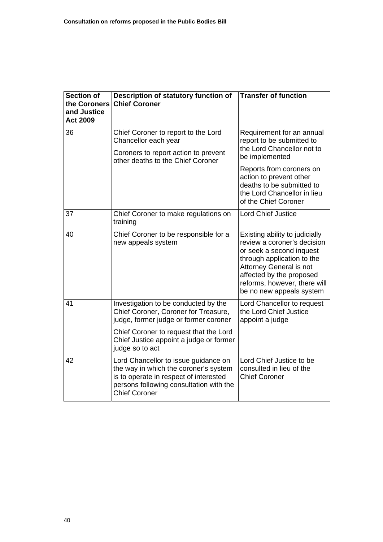| <b>Section of</b><br>the Coroners<br>and Justice<br><b>Act 2009</b> | Description of statutory function of<br><b>Chief Coroner</b>                                                                                                                               | <b>Transfer of function</b>                                                                                                                                                                                                                       |
|---------------------------------------------------------------------|--------------------------------------------------------------------------------------------------------------------------------------------------------------------------------------------|---------------------------------------------------------------------------------------------------------------------------------------------------------------------------------------------------------------------------------------------------|
| 36                                                                  | Chief Coroner to report to the Lord<br>Chancellor each year<br>Coroners to report action to prevent<br>other deaths to the Chief Coroner                                                   | Requirement for an annual<br>report to be submitted to<br>the Lord Chancellor not to<br>be implemented<br>Reports from coroners on<br>action to prevent other<br>deaths to be submitted to<br>the Lord Chancellor in lieu<br>of the Chief Coroner |
| 37                                                                  | Chief Coroner to make regulations on<br>training                                                                                                                                           | <b>Lord Chief Justice</b>                                                                                                                                                                                                                         |
| 40                                                                  | Chief Coroner to be responsible for a<br>new appeals system                                                                                                                                | Existing ability to judicially<br>review a coroner's decision<br>or seek a second inquest<br>through application to the<br><b>Attorney General is not</b><br>affected by the proposed<br>reforms, however, there will<br>be no new appeals system |
| 41                                                                  | Investigation to be conducted by the<br>Chief Coroner, Coroner for Treasure,<br>judge, former judge or former coroner                                                                      | Lord Chancellor to request<br>the Lord Chief Justice<br>appoint a judge                                                                                                                                                                           |
|                                                                     | Chief Coroner to request that the Lord<br>Chief Justice appoint a judge or former<br>judge so to act                                                                                       |                                                                                                                                                                                                                                                   |
| 42                                                                  | Lord Chancellor to issue guidance on<br>the way in which the coroner's system<br>is to operate in respect of interested<br>persons following consultation with the<br><b>Chief Coroner</b> | Lord Chief Justice to be<br>consulted in lieu of the<br><b>Chief Coroner</b>                                                                                                                                                                      |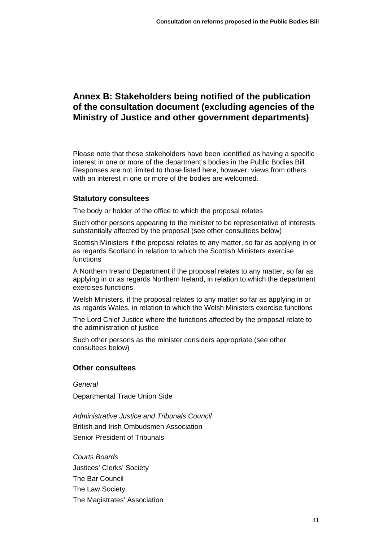# <span id="page-43-0"></span>**Annex B: Stakeholders being notified of the publication of the consultation document (excluding agencies of the Ministry of Justice and other government departments)**

Please note that these stakeholders have been identified as having a specific interest in one or more of the department's bodies in the Public Bodies Bill. Responses are not limited to those listed here, however: views from others with an interest in one or more of the bodies are welcomed.

### **Statutory consultees**

The body or holder of the office to which the proposal relates

Such other persons appearing to the minister to be representative of interests substantially affected by the proposal (see other consultees below)

Scottish Ministers if the proposal relates to any matter, so far as applying in or as regards Scotland in relation to which the Scottish Ministers exercise functions

A Northern Ireland Department if the proposal relates to any matter, so far as applying in or as regards Northern Ireland, in relation to which the department exercises functions

Welsh Ministers, if the proposal relates to any matter so far as applying in or as regards Wales, in relation to which the Welsh Ministers exercise functions

The Lord Chief Justice where the functions affected by the proposal relate to the administration of justice

Such other persons as the minister considers appropriate (see other consultees below)

### **Other consultees**

*General* 

Departmental Trade Union Side

*Administrative Justice and Tribunals Council*  British and Irish Ombudsmen Association Senior President of Tribunals

*Courts Boards*  Justices' Clerks' Society The Bar Council The Law Society The Magistrates' Association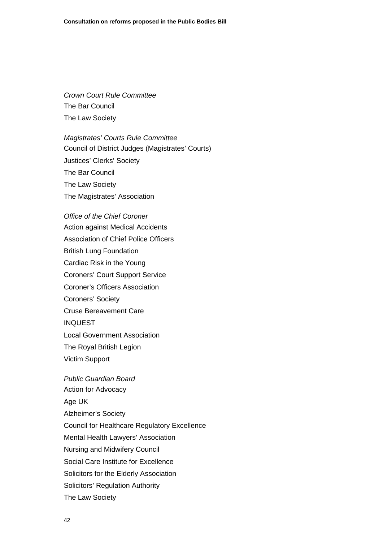*Crown Court Rule Committee*  The Bar Council The Law Society

*Magistrates' Courts Rule Committee*  Council of District Judges (Magistrates' Courts) Justices' Clerks' Society The Bar Council The Law Society The Magistrates' Association

*Office of the Chief Coroner*  Action against Medical Accidents Association of Chief Police Officers British Lung Foundation Cardiac Risk in the Young Coroners' Court Support Service Coroner's Officers Association Coroners' Society Cruse Bereavement Care INQUEST Local Government Association The Royal British Legion Victim Support

*Public Guardian Board*  Action for Advocacy Age UK Alzheimer's Society Council for Healthcare Regulatory Excellence Mental Health Lawyers' Association Nursing and Midwifery Council Social Care Institute for Excellence Solicitors for the Elderly Association Solicitors' Regulation Authority The Law Society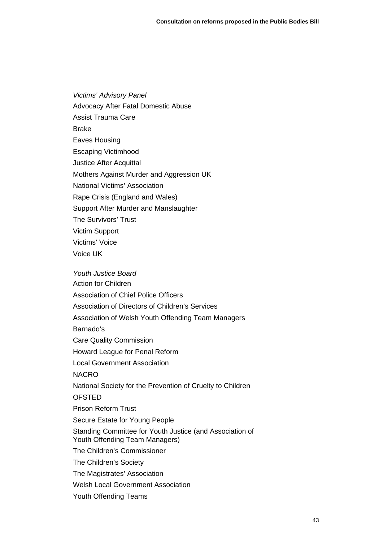*Victims' Advisory Panel*  Advocacy After Fatal Domestic Abuse Assist Trauma Care Brake Eaves Housing Escaping Victimhood Justice After Acquittal Mothers Against Murder and Aggression UK National Victims' Association Rape Crisis (England and Wales) Support After Murder and Manslaughter The Survivors' Trust Victim Support Victims' Voice Voice UK

*Youth Justice Board*  Action for Children Association of Chief Police Officers Association of Directors of Children's Services Association of Welsh Youth Offending Team Managers Barnado's Care Quality Commission Howard League for Penal Reform Local Government Association NACRO National Society for the Prevention of Cruelty to Children OFSTED Prison Reform Trust Secure Estate for Young People Standing Committee for Youth Justice (and Association of Youth Offending Team Managers) The Children's Commissioner The Children's Society The Magistrates' Association Welsh Local Government Association Youth Offending Teams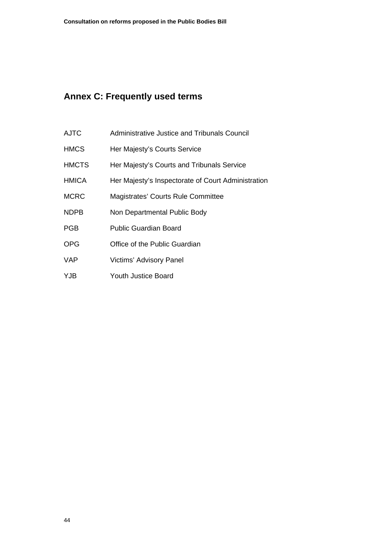# <span id="page-46-0"></span>**Annex C: Frequently used terms**

- AJTC Administrative Justice and Tribunals Council
- HMCS Her Majesty's Courts Service
- HMCTS Her Majesty's Courts and Tribunals Service
- HMICA Her Majesty's Inspectorate of Court Administration
- MCRC Magistrates' Courts Rule Committee
- NDPB Non Departmental Public Body
- PGB Public Guardian Board
- OPG Office of the Public Guardian
- VAP Victims' Advisory Panel
- YJB Youth Justice Board